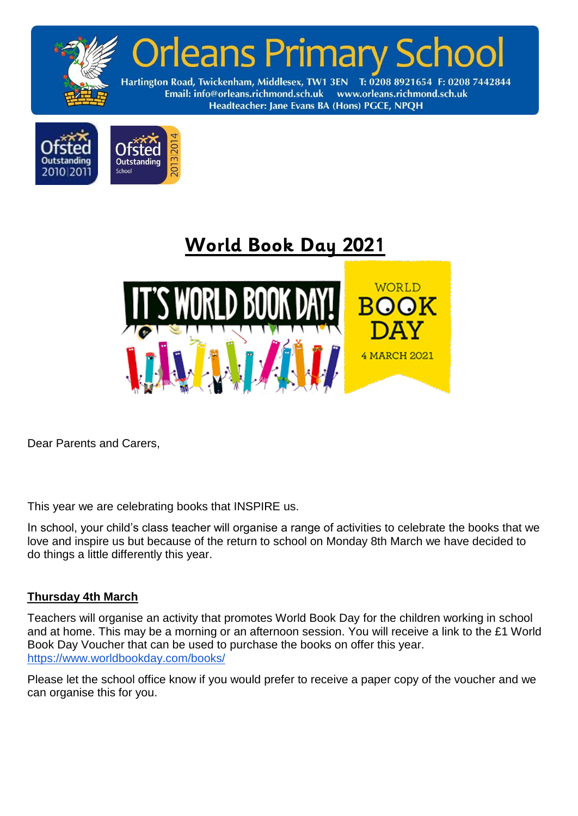





Dear Parents and Carers,

This year we are celebrating books that INSPIRE us.

In school, your child's class teacher will organise a range of activities to celebrate the books that we love and inspire us but because of the return to school on Monday 8th March we have decided to do things a little differently this year.

## **Thursday 4th March**

Teachers will organise an activity that promotes World Book Day for the children working in school and at home. This may be a morning or an afternoon session. You will receive a link to the £1 World Book Day Voucher that can be used to purchase the books on offer this year. <https://www.worldbookday.com/books/>

Please let the school office know if you would prefer to receive a paper copy of the voucher and we can organise this for you.